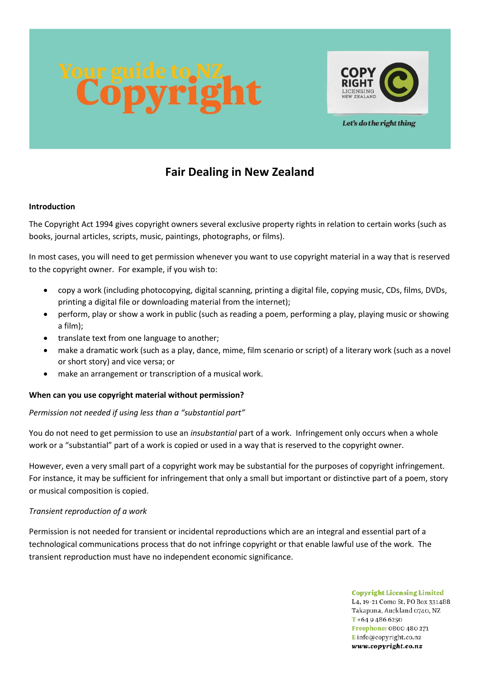

Let's do the right thing

# **Fair Dealing in New Zealand**

# **Introduction**

The Copyright Act 1994 gives copyright owners several exclusive property rights in relation to certain works (such as books, journal articles, scripts, music, paintings, photographs, or films).

In most cases, you will need to get permission whenever you want to use copyright material in a way that is reserved to the copyright owner. For example, if you wish to:

- copy a work (including photocopying, digital scanning, printing a digital file, copying music, CDs, films, DVDs, printing a digital file or downloading material from the internet);
- perform, play or show a work in public (such as reading a poem, performing a play, playing music or showing a film);
- translate text from one language to another;
- make a dramatic work (such as a play, dance, mime, film scenario or script) of a literary work (such as a novel or short story) and vice versa; or
- make an arrangement or transcription of a musical work.

# **When can you use copyright material without permission?**

# *Permission not needed if using less than a "substantial part"*

You do not need to get permission to use an *insubstantial* part of a work. Infringement only occurs when a whole work or a "substantial" part of a work is copied or used in a way that is reserved to the copyright owner.

However, even a very small part of a copyright work may be substantial for the purposes of copyright infringement. For instance, it may be sufficient for infringement that only a small but important or distinctive part of a poem, story or musical composition is copied.

#### *Transient reproduction of a work*

Permission is not needed for transient or incidental reproductions which are an integral and essential part of a technological communications process that do not infringe copyright or that enable lawful use of the work. The transient reproduction must have no independent economic significance.

> **Copyright Licensing Limited** L4, 19-21 Como St, PO Box 331488. Takapuna, Auckland 0740, NZ  $T + 6494866250$ Freephone: 0800 480 271 Einfo@copyright.co.nz www.copyright.co.nz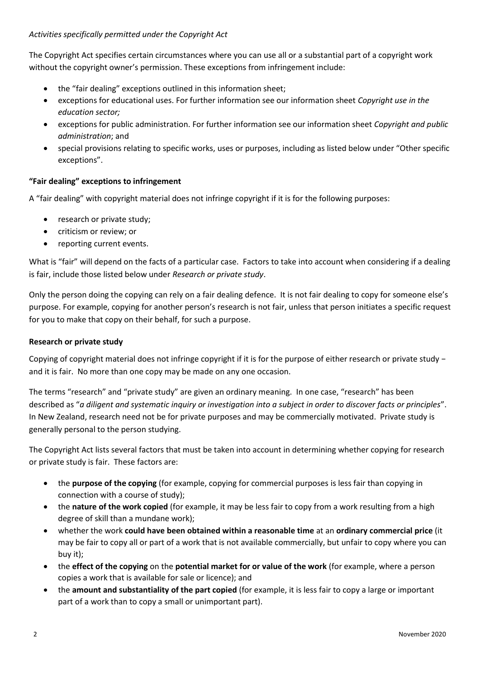# *Activities specifically permitted under the Copyright Act*

The Copyright Act specifies certain circumstances where you can use all or a substantial part of a copyright work without the copyright owner's permission. These exceptions from infringement include:

- the "fair dealing" exceptions outlined in this information sheet;
- exceptions for educational uses. For further information see our information sheet *Copyright use in the education sector;*
- exceptions for public administration. For further information see our information sheet *Copyright and public administration*; and
- special provisions relating to specific works, uses or purposes, including as listed below under "Other specific exceptions".

### **"Fair dealing" exceptions to infringement**

A "fair dealing" with copyright material does not infringe copyright if it is for the following purposes:

- research or private study;
- criticism or review; or
- reporting current events.

What is "fair" will depend on the facts of a particular case. Factors to take into account when considering if a dealing is fair, include those listed below under *Research or private study*.

Only the person doing the copying can rely on a fair dealing defence. It is not fair dealing to copy for someone else's purpose. For example, copying for another person's research is not fair, unless that person initiates a specific request for you to make that copy on their behalf, for such a purpose.

#### **Research or private study**

Copying of copyright material does not infringe copyright if it is for the purpose of either research or private study − and it is fair. No more than one copy may be made on any one occasion.

The terms "research" and "private study" are given an ordinary meaning. In one case, "research" has been described as "*a diligent and systematic inquiry or investigation into a subject in order to discover facts or principles*". In New Zealand, research need not be for private purposes and may be commercially motivated. Private study is generally personal to the person studying.

The Copyright Act lists several factors that must be taken into account in determining whether copying for research or private study is fair. These factors are:

- the **purpose of the copying** (for example, copying for commercial purposes is less fair than copying in connection with a course of study);
- the **nature of the work copied** (for example, it may be less fair to copy from a work resulting from a high degree of skill than a mundane work);
- whether the work **could have been obtained within a reasonable time** at an **ordinary commercial price** (it may be fair to copy all or part of a work that is not available commercially, but unfair to copy where you can buy it);
- the **effect of the copying** on the **potential market for or value of the work** (for example, where a person copies a work that is available for sale or licence); and
- the **amount and substantiality of the part copied** (for example, it is less fair to copy a large or important part of a work than to copy a small or unimportant part).